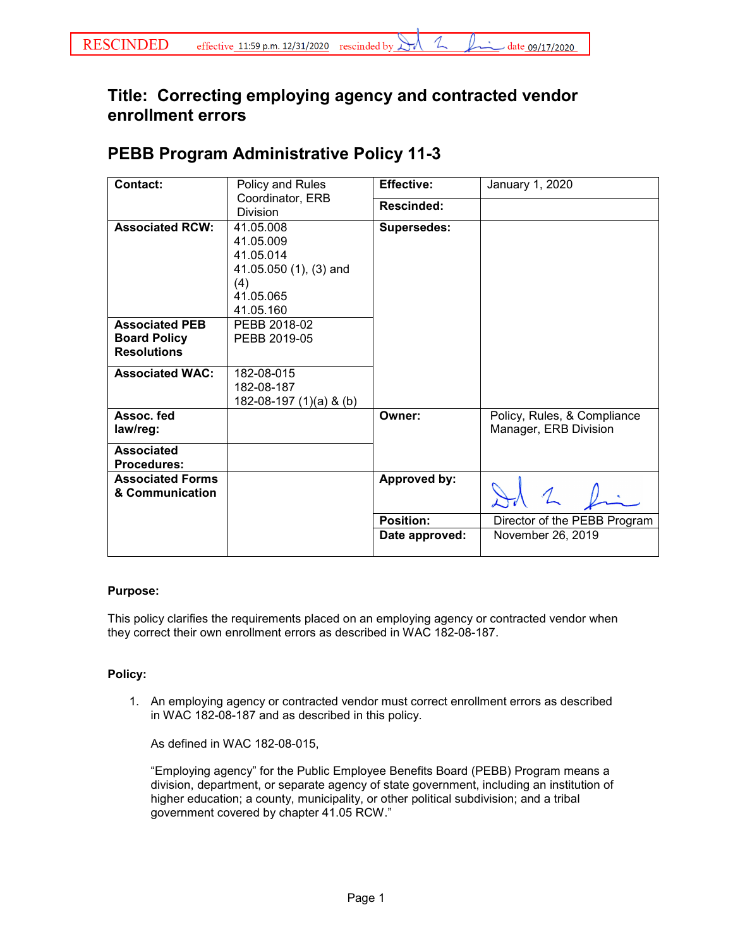## **Title: Correcting employing agency and contracted vendor enrollment errors**

## **PEBB Program Administrative Policy 11-3**

| <b>Contact:</b>                                                    | Policy and Rules                                                                               | <b>Effective:</b>  | January 1, 2020                                      |
|--------------------------------------------------------------------|------------------------------------------------------------------------------------------------|--------------------|------------------------------------------------------|
|                                                                    | Coordinator, ERB<br><b>Division</b>                                                            | <b>Rescinded:</b>  |                                                      |
| <b>Associated RCW:</b>                                             | 41.05.008<br>41.05.009<br>41.05.014<br>41.05.050 (1), (3) and<br>(4)<br>41.05.065<br>41.05.160 | <b>Supersedes:</b> |                                                      |
| <b>Associated PEB</b><br><b>Board Policy</b><br><b>Resolutions</b> | PEBB 2018-02<br>PEBB 2019-05                                                                   |                    |                                                      |
| <b>Associated WAC:</b>                                             | 182-08-015<br>182-08-187<br>182-08-197 (1)(a) & (b)                                            |                    |                                                      |
| Assoc. fed<br>law/reg:                                             |                                                                                                | Owner:             | Policy, Rules, & Compliance<br>Manager, ERB Division |
| <b>Associated</b><br><b>Procedures:</b>                            |                                                                                                |                    |                                                      |
| <b>Associated Forms</b><br>& Communication                         |                                                                                                | Approved by:       |                                                      |
|                                                                    |                                                                                                | <b>Position:</b>   | Director of the PEBB Program                         |
|                                                                    |                                                                                                | Date approved:     | November 26, 2019                                    |

## **Purpose:**

This policy clarifies the requirements placed on an employing agency or contracted vendor when they correct their own enrollment errors as described in WAC 182-08-187.

## **Policy:**

1. An employing agency or contracted vendor must correct enrollment errors as described in WAC 182-08-187 and as described in this policy.

As defined in WAC 182-08-015,

"Employing agency" for the Public Employee Benefits Board (PEBB) Program means a division, department, or separate agency of state government, including an institution of higher education; a county, municipality, or other political subdivision; and a tribal government covered by chapter 41.05 RCW."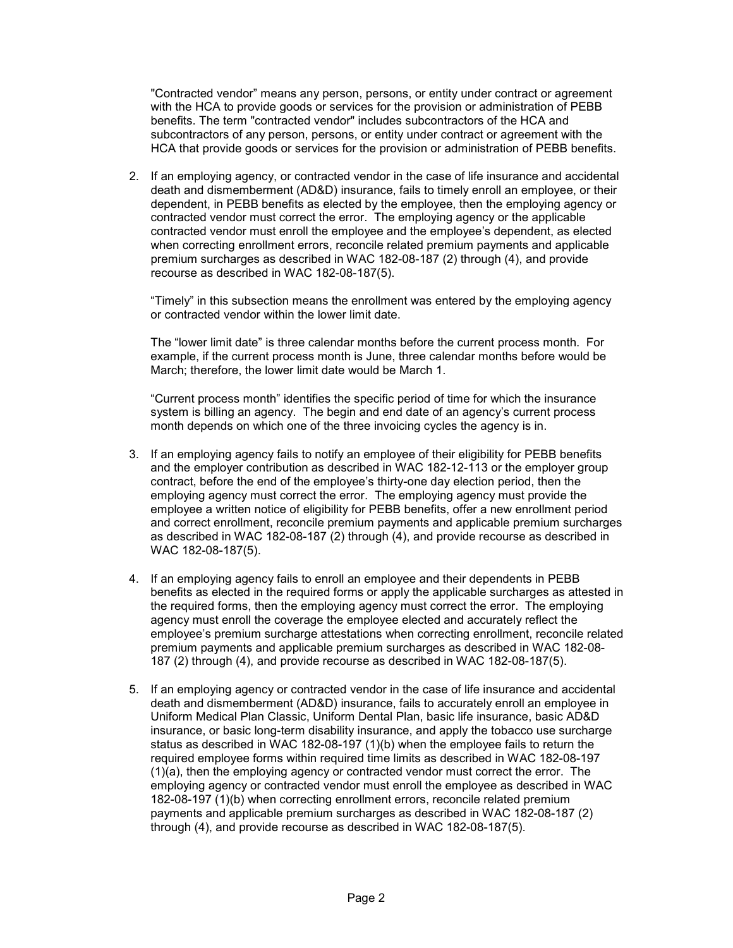"Contracted vendor" means any person, persons, or entity under contract or agreement with the HCA to provide goods or services for the provision or administration of PEBB benefits. The term "contracted vendor" includes subcontractors of the HCA and subcontractors of any person, persons, or entity under contract or agreement with the HCA that provide goods or services for the provision or administration of PEBB benefits.

2. If an employing agency, or contracted vendor in the case of life insurance and accidental death and dismemberment (AD&D) insurance, fails to timely enroll an employee, or their dependent, in PEBB benefits as elected by the employee, then the employing agency or contracted vendor must correct the error. The employing agency or the applicable contracted vendor must enroll the employee and the employee's dependent, as elected when correcting enrollment errors, reconcile related premium payments and applicable premium surcharges as described in WAC 182-08-187 (2) through (4), and provide recourse as described in WAC 182-08-187(5).

"Timely" in this subsection means the enrollment was entered by the employing agency or contracted vendor within the lower limit date.

The "lower limit date" is three calendar months before the current process month. For example, if the current process month is June, three calendar months before would be March; therefore, the lower limit date would be March 1.

"Current process month" identifies the specific period of time for which the insurance system is billing an agency. The begin and end date of an agency's current process month depends on which one of the three invoicing cycles the agency is in.

- 3. If an employing agency fails to notify an employee of their eligibility for PEBB benefits and the employer contribution as described in WAC 182-12-113 or the employer group contract, before the end of the employee's thirty-one day election period, then the employing agency must correct the error. The employing agency must provide the employee a written notice of eligibility for PEBB benefits, offer a new enrollment period and correct enrollment, reconcile premium payments and applicable premium surcharges as described in WAC 182-08-187 (2) through (4), and provide recourse as described in WAC 182-08-187(5).
- 4. If an employing agency fails to enroll an employee and their dependents in PEBB benefits as elected in the required forms or apply the applicable surcharges as attested in the required forms, then the employing agency must correct the error. The employing agency must enroll the coverage the employee elected and accurately reflect the employee's premium surcharge attestations when correcting enrollment, reconcile related premium payments and applicable premium surcharges as described in WAC 182-08- 187 (2) through (4), and provide recourse as described in WAC 182-08-187(5).
- 5. If an employing agency or contracted vendor in the case of life insurance and accidental death and dismemberment (AD&D) insurance, fails to accurately enroll an employee in Uniform Medical Plan Classic, Uniform Dental Plan, basic life insurance, basic AD&D insurance, or basic long-term disability insurance, and apply the tobacco use surcharge status as described in WAC 182-08-197 (1)(b) when the employee fails to return the required employee forms within required time limits as described in WAC 182-08-197 (1)(a), then the employing agency or contracted vendor must correct the error. The employing agency or contracted vendor must enroll the employee as described in WAC 182-08-197 (1)(b) when correcting enrollment errors, reconcile related premium payments and applicable premium surcharges as described in WAC 182-08-187 (2) through (4), and provide recourse as described in WAC 182-08-187(5).